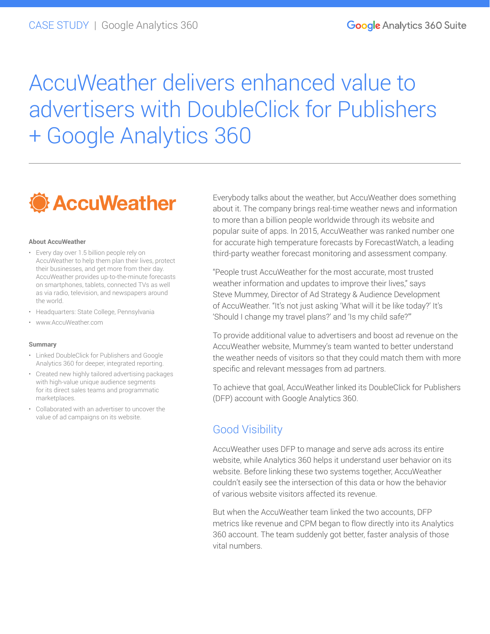# AccuWeather delivers enhanced value to advertisers with DoubleClick for Publishers + Google Analytics 360



#### **About AccuWeather**

- Every day over 1.5 billion people rely on AccuWeather to help them plan their lives, protect their businesses, and get more from their day. AccuWeather provides up-to-the-minute forecasts on smartphones, tablets, connected TVs as well as via radio, television, and newspapers around the world.
- Headquarters: State College, Pennsylvania
- [www.AccuWeather.com](http://www.accuweather.com)

#### **Summary**

- Linked DoubleClick for Publishers and Google Analytics 360 for deeper, integrated reporting.
- Created new highly tailored advertising packages with high-value unique audience segments for its direct sales teams and programmatic marketplaces.
- Collaborated with an advertiser to uncover the value of ad campaigns on its website.

Everybody talks about the weather, but AccuWeather does something about it. The company brings real-time weather news and information to more than a billion people worldwide through its website and popular suite of apps. In 2015, AccuWeather was ranked number one for accurate high temperature forecasts by ForecastWatch, a leading third-party weather forecast monitoring and assessment company.

"People trust AccuWeather for the most accurate, most trusted weather information and updates to improve their lives," says Steve Mummey, Director of Ad Strategy & Audience Development of AccuWeather. "It's not just asking 'What will it be like today?' It's 'Should I change my travel plans?' and 'Is my child safe?'"

To provide additional value to advertisers and boost ad revenue on the AccuWeather website, Mummey's team wanted to better understand the weather needs of visitors so that they could match them with more specific and relevant messages from ad partners.

To achieve that goal, AccuWeather linked its DoubleClick for Publishers (DFP) account with Google Analytics 360.

### Good Visibility

AccuWeather uses DFP to manage and serve ads across its entire website, while Analytics 360 helps it understand user behavior on its website. Before linking these two systems together, AccuWeather couldn't easily see the intersection of this data or how the behavior of various website visitors affected its revenue.

But when the AccuWeather team linked the two accounts, DFP metrics like revenue and CPM began to flow directly into its Analytics 360 account. The team suddenly got better, faster analysis of those vital numbers.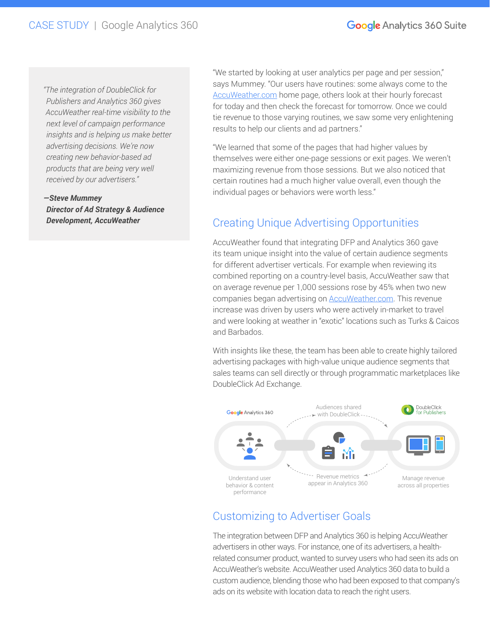*"The integration of DoubleClick for Publishers and Analytics 360 gives AccuWeather real-time visibility to the next level of campaign performance insights and is helping us make better advertising decisions. We're now creating new behavior-based ad products that are being very well received by our advertisers."*

*—Steve Mummey Director of Ad Strategy & Audience Development, AccuWeather*

"We started by looking at user analytics per page and per session," says Mummey. "Our users have routines: some always come to the [AccuWeather.com](http://www.AccuWeather.com) home page, others look at their hourly forecast for today and then check the forecast for tomorrow. Once we could tie revenue to those varying routines, we saw some very enlightening results to help our clients and ad partners."

"We learned that some of the pages that had higher values by themselves were either one-page sessions or exit pages. We weren't maximizing revenue from those sessions. But we also noticed that certain routines had a much higher value overall, even though the individual pages or behaviors were worth less."

## Creating Unique Advertising Opportunities

AccuWeather found that integrating DFP and Analytics 360 gave its team unique insight into the value of certain audience segments for different advertiser verticals. For example when reviewing its combined reporting on a country-level basis, AccuWeather saw that on average revenue per 1,000 sessions rose by 45% when two new companies began advertising on **AccuWeather.com**. This revenue increase was driven by users who were actively in-market to travel and were looking at weather in "exotic" locations such as Turks & Caicos and Barbados.

With insights like these, the team has been able to create highly tailored advertising packages with high-value unique audience segments that sales teams can sell directly or through programmatic marketplaces like DoubleClick Ad Exchange.



## Customizing to Advertiser Goals

The integration between DFP and Analytics 360 is helping AccuWeather advertisers in other ways. For instance, one of its advertisers, a healthrelated consumer product, wanted to survey users who had seen its ads on AccuWeather's website. AccuWeather used Analytics 360 data to build a custom audience, blending those who had been exposed to that company's ads on its website with location data to reach the right users.